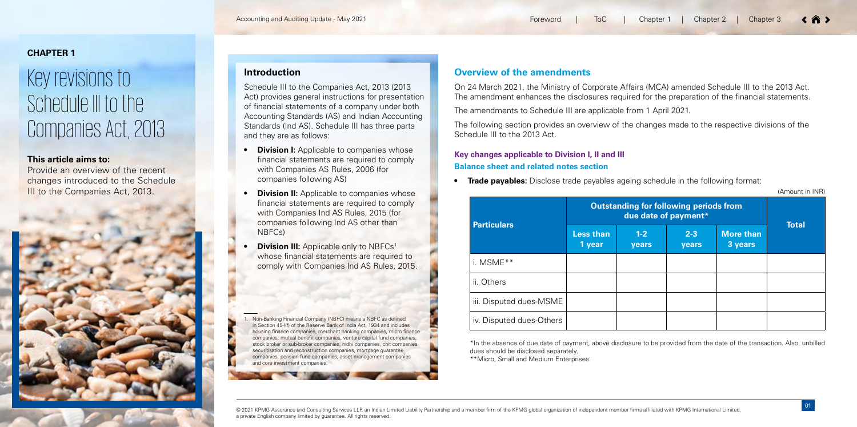(Amount in INR)

\*In the absence of due date of payment, above disclosure to be provided from the date of the transaction. Also, unbilled dues should be disclosed separately.

\*\*Micro, Small and Medium Enterprises.

© 2021 KPMG Assurance and Consulting Services LLP, an Indian Limited Liability Partnership and a member firm of the KPMG global organization of independent member firms affiliated with KPMG International Limited, a private English company limited by guarantee. All rights reserved.

|  | 1   Chapter 2   Chapter 3 |  |  | $\langle$ $\hat{n}$ $\rangle$ |
|--|---------------------------|--|--|-------------------------------|
|--|---------------------------|--|--|-------------------------------|

- 
- 
- 

# **CHAPTER 1**

# Key revisions to Schedule III to the Companies Act, 2013

### **This article aims to:**

Provide an overview of the recent changes introduced to the Schedule III to the Companies Act, 2013.



# **Overview of the amendments**

On 24 March 2021, the Ministry of Corporate Affairs (MCA) amended Schedule III to the 2013 Act. The amendment enhances the disclosures required for the preparation of the financial statements.

The amendments to Schedule III are applicable from 1 April 2021.

- **Pivision I:** Applicable to companies whose financial statements are required to comply with Companies AS Rules, 2006 (for companies following AS)
- **Division II:** Applicable to companies whose financial statements are required to comply with Companies Ind AS Rules, 2015 (for companies following Ind AS other than NBFCs)
- **Division III:** Applicable only to NBFCs<sup>1</sup> whose financial statements are required to comply with Companies Ind AS Rules, 2015.

The following section provides an overview of the changes made to the respective divisions of the Schedule III to the 2013 Act.

# **Key changes applicable to Division I, II and III Balance sheet and related notes section**

**Trade payables:** Disclose trade payables ageing schedule in the following format:

# **Introduction**

Non-Banking Financial Company (NBFC) means a NBFC as defined in Section 45-l(f) of the Reserve Bank of India Act, 1934 and includes housing finance companies, merchant banking companies, micro finance companies, mutual benefit companies, venture capital fund companies, stock broker or sub-broker companies, nidhi companies, chit companies, securitisation and reconstruction companies, mortgage quarantee companies, pension fund companies, asset management companies and core investment companies.

Schedule III to the Companies Act, 2013 (2013 Act) provides general instructions for presentation of financial statements of a company under both Accounting Standards (AS) and Indian Accounting Standards (Ind AS). Schedule III has three parts and they are as follows:

|                          | <b>Outstanding for following periods from</b> |                         |                  |                             |              |
|--------------------------|-----------------------------------------------|-------------------------|------------------|-----------------------------|--------------|
| <b>Particulars</b>       | <b>Less than</b><br>1 year                    | $1 - 2$<br><b>years</b> | $2 - 3$<br>years | <b>More than</b><br>3 years | <b>Total</b> |
| i. MSME**                |                                               |                         |                  |                             |              |
| ii. Others               |                                               |                         |                  |                             |              |
| iii. Disputed dues-MSME  |                                               |                         |                  |                             |              |
| iv. Disputed dues-Others |                                               |                         |                  |                             |              |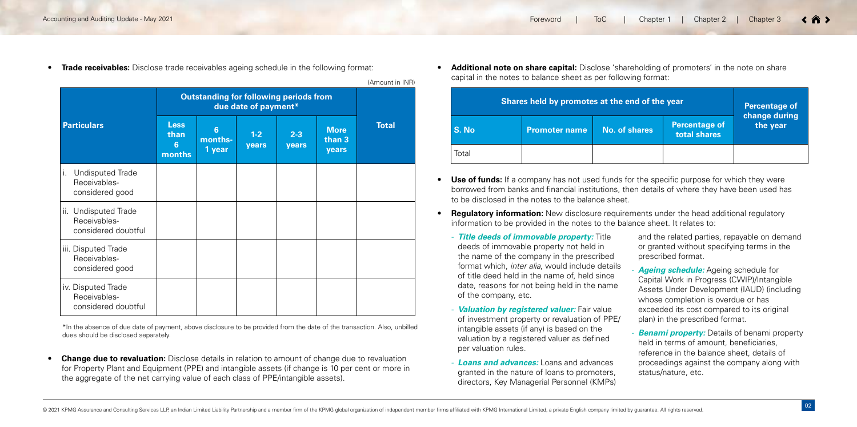|                                                                  | <b>Outstanding for following periods from</b><br>due date of payment* |                                     |                |                  |                                |              |
|------------------------------------------------------------------|-----------------------------------------------------------------------|-------------------------------------|----------------|------------------|--------------------------------|--------------|
| <b>Particulars</b>                                               | <b>Less</b><br>than<br>6<br>months                                    | $6\phantom{1}$<br>months-<br>1 year | $1-2$<br>years | $2 - 3$<br>years | <b>More</b><br>than 3<br>years | <b>Total</b> |
| <b>Undisputed Trade</b><br>Ι.<br>Receivables-<br>considered good |                                                                       |                                     |                |                  |                                |              |
| ii. Undisputed Trade<br>Receivables-<br>considered doubtful      |                                                                       |                                     |                |                  |                                |              |
| iii. Disputed Trade<br>Receivables-<br>considered good           |                                                                       |                                     |                |                  |                                |              |
| iv. Disputed Trade<br>Receivables-<br>considered doubtful        |                                                                       |                                     |                |                  |                                |              |

**Change due to revaluation:** Disclose details in relation to amount of change due to revaluation for Property Plant and Equipment (PPE) and intangible assets (if change is 10 per cent or more in the aggregate of the net carrying value of each class of PPE/intangible assets).

| Shares held by promotes at the end of the year | <b>Percentage of</b><br>change during |                      |                                      |          |  |
|------------------------------------------------|---------------------------------------|----------------------|--------------------------------------|----------|--|
| S. No                                          | <b>Promoter name</b>                  | <b>No. of shares</b> | <b>Percentage of</b><br>total shares | the year |  |
| Total                                          |                                       |                      |                                      |          |  |

**• Trade receivables:** Disclose trade receivables ageing schedule in the following format:

- **Use of funds:** If a company has not used funds for the specific purpose for which they were borrowed from banks and financial institutions, then details of where they have been used has to be disclosed in the notes to the balance sheet.
- **•• Requiatory information:** New disclosure requirements under the head additional requiatory information to be provided in the notes to the balance sheet. It relates to:
- *Title deeds of immovable property:* Title deeds of immovable property not held in the name of the company in the prescribed format which, *inter alia*, would include details of title deed held in the name of, held since date, reasons for not being held in the name of the company, etc.
- *Valuation by registered valuer:* Fair value of investment property or revaluation of PPE/ intangible assets (if any) is based on the valuation by a registered valuer as defined per valuation rules.
- *Loans and advances:* Loans and advances granted in the nature of loans to promoters, directors, Key Managerial Personnel (KMPs)

**• Additional note on share capital:** Disclose 'shareholding of promoters' in the note on share capital in the notes to balance sheet as per following format:

> **Ageing schedule:** Ageing schedule for Capital Work in Progress (CWIP)/Intangible Assets Under Development (IAUD) (including whose completion is overdue or has exceeded its cost compared to its original plan) in the prescribed format.

**Benami property:** Details of benami property held in terms of amount, beneficiaries, reference in the balance sheet, details of proceedings against the company along with status/nature, etc.

and the related parties, repayable on demand or granted without specifying terms in the prescribed format.

(Amount in INR)

\*In the absence of due date of payment, above disclosure to be provided from the date of the transaction. Also, unbilled dues should be disclosed separately.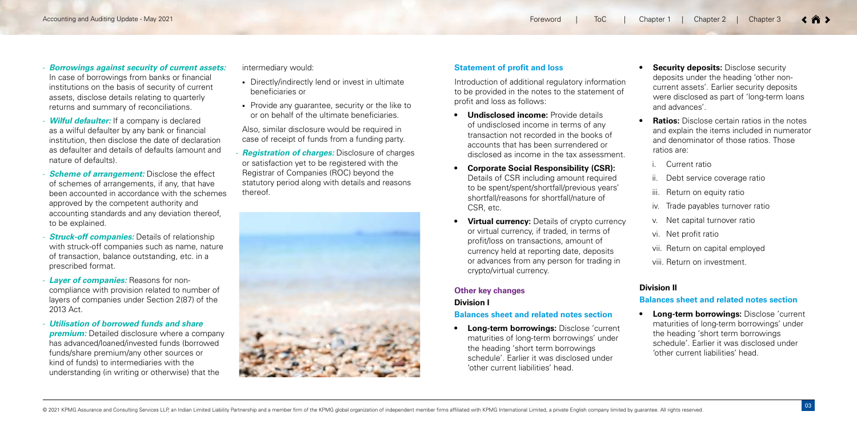- *Borrowings against security of current assets:* In case of borrowings from banks or financial institutions on the basis of security of current assets, disclose details relating to quarterly returns and summary of reconciliations.
- *Wilful defaulter:* If a company is declared as a wilful defaulter by any bank or financial institution, then disclose the date of declaration as defaulter and details of defaults (amount and nature of defaults).
- *Scheme of arrangement:* Disclose the effect of schemes of arrangements, if any, that have been accounted in accordance with the schemes approved by the competent authority and accounting standards and any deviation thereof, to be explained.
- *Struck-off companies:* Details of relationship with struck-off companies such as name, nature of transaction, balance outstanding, etc. in a prescribed format.
- *Layer of companies:* Reasons for noncompliance with provision related to number of layers of companies under Section 2(87) of the 2013 Act.
- *Utilisation of borrowed funds and share premium:* Detailed disclosure where a company has advanced/loaned/invested funds (borrowed funds/share premium/any other sources or kind of funds) to intermediaries with the understanding (in writing or otherwise) that the
- *<b>Undisclosed income:* Provide details of undisclosed income in terms of any transaction not recorded in the books of accounts that has been surrendered or disclosed as income in the tax assessment.
- **• Corporate Social Responsibility (CSR):** Details of CSR including amount required to be spent/spent/shortfall/previous years' shortfall/reasons for shortfall/nature of CSR, etc.
- **• Virtual currency:** Details of crypto currency or virtual currency, if traded, in terms of profit/loss on transactions, amount of currency held at reporting date, deposits or advances from any person for trading in crypto/virtual currency.

intermediary would:

- Directly/indirectly lend or invest in ultimate beneficiaries or
- Provide any guarantee, security or the like to or on behalf of the ultimate beneficiaries.

**•• Ratios:** Disclose certain ratios in the notes and explain the items included in numerator and denominator of those ratios. Those ratios are:

Also, similar disclosure would be required in case of receipt of funds from a funding party.

- *Registration of charges:* Disclosure of charges or satisfaction yet to be registered with the Registrar of Companies (ROC) beyond the statutory period along with details and reasons thereof.



### **Statement of profit and loss**

Introduction of additional regulatory information to be provided in the notes to the statement of profit and loss as follows:

# **Other key changes Division I**

# **Balances sheet and related notes section**

**• Long-term borrowings:** Disclose 'current maturities of long-term borrowings' under the heading 'short term borrowings schedule'. Earlier it was disclosed under 'other current liabilities' head.

**• Security deposits:** Disclose security deposits under the heading 'other noncurrent assets'. Earlier security deposits were disclosed as part of 'long-term loans and advances'.

- i. Current ratio
- ii. Debt service coverage ratio
- iii. Return on equity ratio
- iv. Trade payables turnover ratio
- v. Net capital turnover ratio
- vi. Net profit ratio
- vii. Return on capital employed
- viii. Return on investment.

# **Division II**

### **Balances sheet and related notes section**

**• Long-term borrowings:** Disclose 'current maturities of long-term borrowings' under the heading 'short term borrowings schedule'. Earlier it was disclosed under 'other current liabilities' head.

| | Chapter 1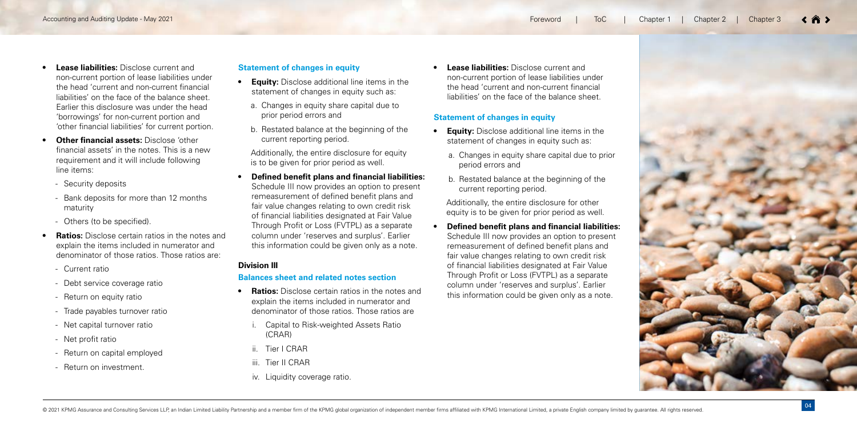- **•• Equity:** Disclose additional line items in the statement of changes in equity such as:
	- a. Changes in equity share capital due to prior period errors and
	- b. Restated balance at the beginning of the current reporting period.
- **• Lease liabilities:** Disclose current and non-current portion of lease liabilities under the head 'current and non-current financial liabilities' on the face of the balance sheet. Earlier this disclosure was under the head 'borrowings' for non-current portion and 'other financial liabilities' for current portion.
- **• Other financial assets:** Disclose 'other financial assets' in the notes. This is a new requirement and it will include following line items:
	- Security deposits
	- Bank deposits for more than 12 months maturity
	- Others (to be specified).
- **• Ratios:** Disclose certain ratios in the notes and explain the items included in numerator and denominator of those ratios. Those ratios are:
	- Current ratio
	- Debt service coverage ratio
	- Return on equity ratio
	- Trade payables turnover ratio
	- Net capital turnover ratio
	- Net profit ratio
	- Return on capital employed
	- Return on investment.
- **•• Ratios:** Disclose certain ratios in the notes and explain the items included in numerator and denominator of those ratios. Those ratios are
	- **Capital to Risk-weighted Assets Ratio** (CRAR)
	- ii. Tier I CRAR
	- iii. Tier II CRAR
	- iv. Liquidity coverage ratio.

### **Statement of changes in equity**

- **•• Equity:** Disclose additional line items in the statement of changes in equity such as:
	- a. Changes in equity share capital due to prior period errors and
	- b. Restated balance at the beginning of the current reporting period.

Additionally, the entire disclosure for equity is to be given for prior period as well.

**• Defined benefit plans and financial liabilities:** Schedule III now provides an option to present remeasurement of defined benefit plans and fair value changes relating to own credit risk of financial liabilities designated at Fair Value Through Profit or Loss (FVTPL) as a separate column under 'reserves and surplus'. Earlier this information could be given only as a note.

### **Division III**

### **Balances sheet and related notes section**

**• Lease liabilities:** Disclose current and non-current portion of lease liabilities under the head 'current and non-current financial liabilities' on the face of the balance sheet.

# **Statement of changes in equity**

Additionally, the entire disclosure for other equity is to be given for prior period as well.

**• Defined benefit plans and financial liabilities:**  Schedule III now provides an option to present remeasurement of defined benefit plans and fair value changes relating to own credit risk of financial liabilities designated at Fair Value Through Profit or Loss (FVTPL) as a separate column under 'reserves and surplus'. Earlier this information could be given only as a note.